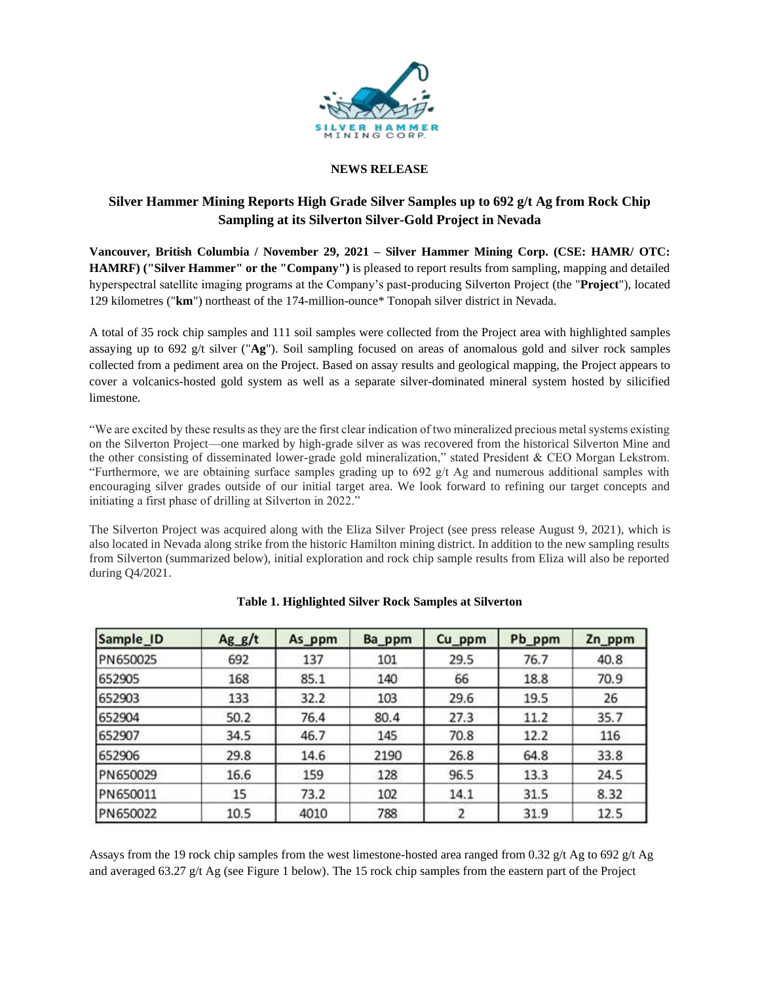

### **NEWS RELEASE**

# **Silver Hammer Mining Reports High Grade Silver Samples up to 692 g/t Ag from Rock Chip Sampling at its Silverton Silver-Gold Project in Nevada**

**Vancouver, British Columbia / November 29, 2021 – Silver Hammer Mining Corp. (CSE: HAMR/ OTC: HAMRF) ("Silver Hammer" or the "Company")** is pleased to report results from sampling, mapping and detailed hyperspectral satellite imaging programs at the Company's past-producing Silverton Project (the "**Project**"), located 129 kilometres ("**km**") northeast of the 174-million-ounce\* Tonopah silver district in Nevada.

A total of 35 rock chip samples and 111 soil samples were collected from the Project area with highlighted samples assaying up to 692 g/t silver ("**Ag**"). Soil sampling focused on areas of anomalous gold and silver rock samples collected from a pediment area on the Project. Based on assay results and geological mapping, the Project appears to cover a volcanics-hosted gold system as well as a separate silver-dominated mineral system hosted by silicified limestone.

"We are excited by these results as they are the first clear indication of two mineralized precious metal systems existing on the Silverton Project—one marked by high-grade silver as was recovered from the historical Silverton Mine and the other consisting of disseminated lower-grade gold mineralization," stated President & CEO Morgan Lekstrom. "Furthermore, we are obtaining surface samples grading up to  $692$  g/t Ag and numerous additional samples with encouraging silver grades outside of our initial target area. We look forward to refining our target concepts and initiating a first phase of drilling at Silverton in 2022."

The Silverton Project was acquired along with the Eliza Silver Project (see press release August 9, 2021), which is also located in Nevada along strike from the historic Hamilton mining district. In addition to the new sampling results from Silverton (summarized below), initial exploration and rock chip sample results from Eliza will also be reported during Q4/2021.

| Sample ID | Agg/t | As ppm | Ba ppm      | Cu_ppm       | Pb_ppm                               | Zn_ppm                            |  |
|-----------|-------|--------|-------------|--------------|--------------------------------------|-----------------------------------|--|
| PN650025  | 692   | 137    | 101         | 29.5         | 76.7                                 | 40.8                              |  |
| 652905    | 168   | 85.1   | 140         |              | 18.8                                 | 70.9                              |  |
| 652903    | 133   | 32.2   | 103         | 29.6         | 19.5<br>11.2<br>12.2<br>64.8<br>13.3 | 26<br>35.7<br>116<br>33.8<br>24.5 |  |
| 652904    | 50.2  | 76.4   | 80.4<br>145 | 27.3<br>70.8 |                                      |                                   |  |
| 652907    | 34.5  | 46.7   |             |              |                                      |                                   |  |
| 652906    | 29.8  | 14.6   | 2190        | 26.8         |                                      |                                   |  |
| PN650029  | 16.6  | 159    | 128         | 96.5         |                                      |                                   |  |
| PN650011  | 15    | 73.2   | 102         | 14.1         | 31.5                                 | 8.32                              |  |
| PN650022  | 10.5  | 4010   | 788         | 2            | 31.9                                 | 12.5                              |  |

## **Table 1. Highlighted Silver Rock Samples at Silverton**

Assays from the 19 rock chip samples from the west limestone-hosted area ranged from 0.32 g/t Ag to 692 g/t Ag and averaged 63.27 g/t Ag (see Figure 1 below). The 15 rock chip samples from the eastern part of the Project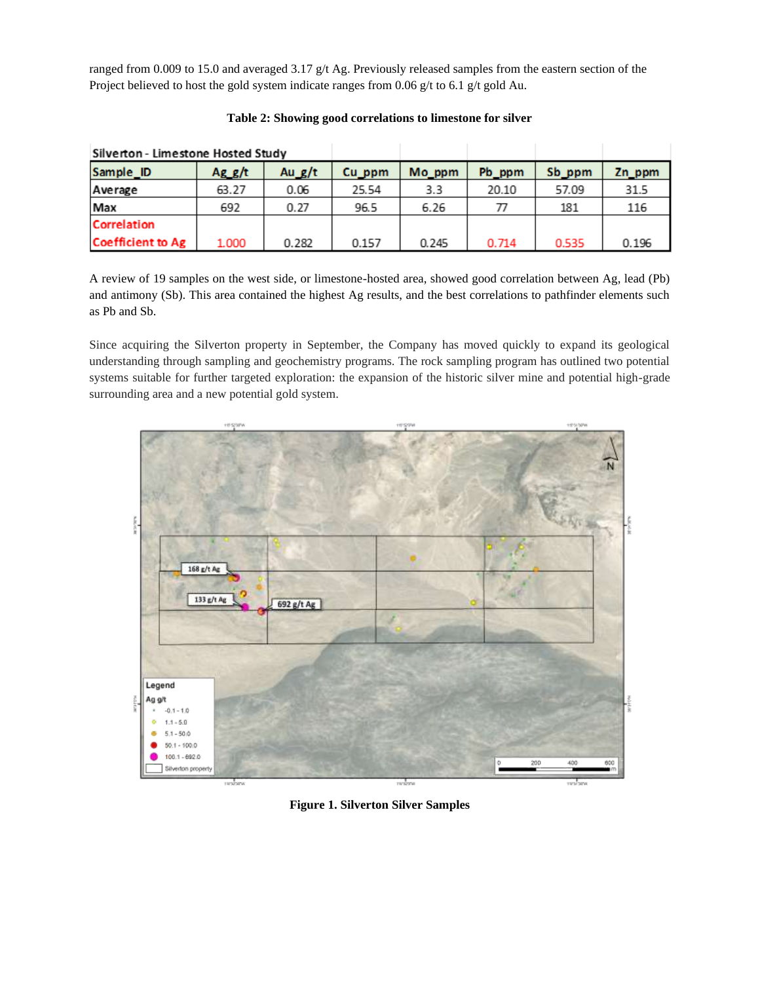ranged from 0.009 to 15.0 and averaged 3.17 g/t Ag. Previously released samples from the eastern section of the Project believed to host the gold system indicate ranges from 0.06 g/t to 6.1 g/t gold Au.

| Silverton - Limestone Hosted Study |        |          |        |        |        |        |        |
|------------------------------------|--------|----------|--------|--------|--------|--------|--------|
| Sample_ID                          | Ag g/t | Au $g/t$ | Cu ppm | Mo_ppm | Pb_ppm | Sb_ppm | Zn_ppm |
| Average                            | 63.27  | 0.06     | 25.54  | 3.3    | 20.10  | 57.09  | 31.5   |
| Max                                | 692    | 0.27     | 96.5   | 6.26   |        | 181    | 116    |
| <b>Correlation</b>                 |        |          |        |        |        |        |        |
| <b>Coefficient to Ag</b>           | 1.000  | 0.282    | 0.157  | 0.245  | 0.714  | 0.535  | 0.196  |

**Table 2: Showing good correlations to limestone for silver**

A review of 19 samples on the west side, or limestone-hosted area, showed good correlation between Ag, lead (Pb) and antimony (Sb). This area contained the highest Ag results, and the best correlations to pathfinder elements such as Pb and Sb.

Since acquiring the Silverton property in September, the Company has moved quickly to expand its geological understanding through sampling and geochemistry programs. The rock sampling program has outlined two potential systems suitable for further targeted exploration: the expansion of the historic silver mine and potential high-grade surrounding area and a new potential gold system.



**Figure 1. Silverton Silver Samples**